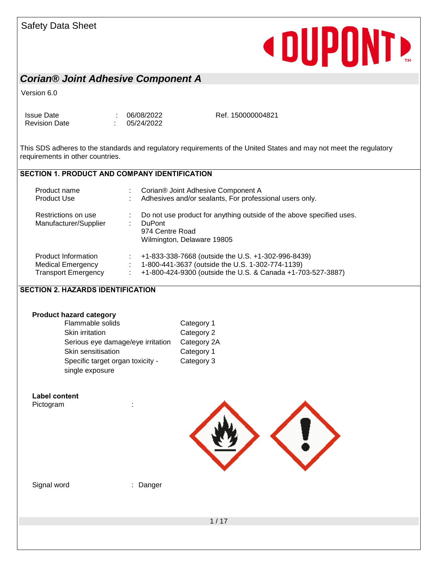#### Safety Data Sheet

## **«DUPONT»**

### *Corian® Joint Adhesive Component A*

Version 6.0

Issue Date : 06/08/2022 Revision Date : 05/24/2022 Ref. 150000004821

This SDS adheres to the standards and regulatory requirements of the United States and may not meet the regulatory requirements in other countries.

#### **SECTION 1. PRODUCT AND COMPANY IDENTIFICATION**

| Product name<br><b>Product Use</b>                                            | Corian® Joint Adhesive Component A<br>Adhesives and/or sealants, For professional users only.                                                                         |  |
|-------------------------------------------------------------------------------|-----------------------------------------------------------------------------------------------------------------------------------------------------------------------|--|
| Restrictions on use<br>Manufacturer/Supplier                                  | Do not use product for anything outside of the above specified uses.<br><b>DuPont</b><br>974 Centre Road<br>Wilmington, Delaware 19805                                |  |
| Product Information<br><b>Medical Emergency</b><br><b>Transport Emergency</b> | +1-833-338-7668 (outside the U.S. +1-302-996-8439)<br>1-800-441-3637 (outside the U.S. 1-302-774-1139)<br>+1-800-424-9300 (outside the U.S. & Canada +1-703-527-3887) |  |

#### **SECTION 2. HAZARDS IDENTIFICATION**

| <b>Product hazard category</b>                      |             |
|-----------------------------------------------------|-------------|
| Flammable solids                                    | Category 1  |
| Skin irritation                                     | Category 2  |
| Serious eye damage/eye irritation                   | Category 2A |
| Skin sensitisation                                  | Category 1  |
| Specific target organ toxicity -<br>single exposure | Category 3  |
|                                                     |             |

### **Label content**

Pictogram : the state of the state of the state of the state of the state of the state of the state of the state of the state of the state of the state of the state of the state of the state of the state of the state of th



Signal word : Danger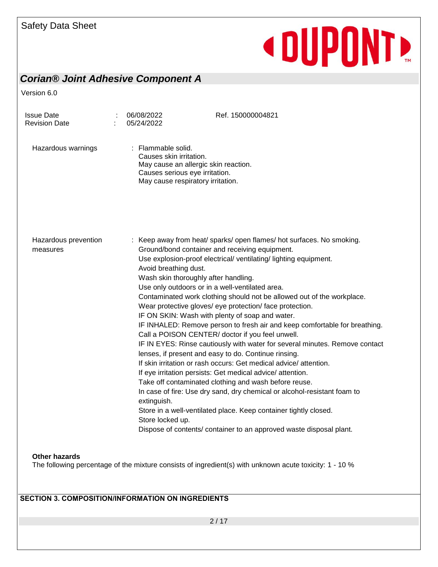### *Corian® Joint Adhesive Component A*

Version 6.0

| <b>Issue Date</b><br><b>Revision Date</b> | 06/08/2022<br>05/24/2022                                                                                                                                     | Ref. 150000004821                                                                                                                                                                                                                                                                                                                                                                                                                                                                                                                                                                                                                                                                                                                                                                                                                                                                                                                                                                                                                                                              |
|-------------------------------------------|--------------------------------------------------------------------------------------------------------------------------------------------------------------|--------------------------------------------------------------------------------------------------------------------------------------------------------------------------------------------------------------------------------------------------------------------------------------------------------------------------------------------------------------------------------------------------------------------------------------------------------------------------------------------------------------------------------------------------------------------------------------------------------------------------------------------------------------------------------------------------------------------------------------------------------------------------------------------------------------------------------------------------------------------------------------------------------------------------------------------------------------------------------------------------------------------------------------------------------------------------------|
| Hazardous warnings                        | : Flammable solid.<br>Causes skin irritation.<br>May cause an allergic skin reaction.<br>Causes serious eye irritation.<br>May cause respiratory irritation. |                                                                                                                                                                                                                                                                                                                                                                                                                                                                                                                                                                                                                                                                                                                                                                                                                                                                                                                                                                                                                                                                                |
| Hazardous prevention<br>measures          | Avoid breathing dust.<br>Wash skin thoroughly after handling.<br>Use only outdoors or in a well-ventilated area.<br>extinguish.<br>Store locked up.          | : Keep away from heat/ sparks/ open flames/ hot surfaces. No smoking.<br>Ground/bond container and receiving equipment.<br>Use explosion-proof electrical/ ventilating/ lighting equipment.<br>Contaminated work clothing should not be allowed out of the workplace.<br>Wear protective gloves/ eye protection/ face protection.<br>IF ON SKIN: Wash with plenty of soap and water.<br>IF INHALED: Remove person to fresh air and keep comfortable for breathing.<br>Call a POISON CENTER/ doctor if you feel unwell.<br>IF IN EYES: Rinse cautiously with water for several minutes. Remove contact<br>lenses, if present and easy to do. Continue rinsing.<br>If skin irritation or rash occurs: Get medical advice/attention.<br>If eye irritation persists: Get medical advice/attention.<br>Take off contaminated clothing and wash before reuse.<br>In case of fire: Use dry sand, dry chemical or alcohol-resistant foam to<br>Store in a well-ventilated place. Keep container tightly closed.<br>Dispose of contents/ container to an approved waste disposal plant. |
| <b>Other hazards</b>                      |                                                                                                                                                              | The following percentage of the mixture consists of ingredient(s) with unknown acute toxicity: 1 - 10 %                                                                                                                                                                                                                                                                                                                                                                                                                                                                                                                                                                                                                                                                                                                                                                                                                                                                                                                                                                        |

#### **SECTION 3. COMPOSITION/INFORMATION ON INGREDIENTS**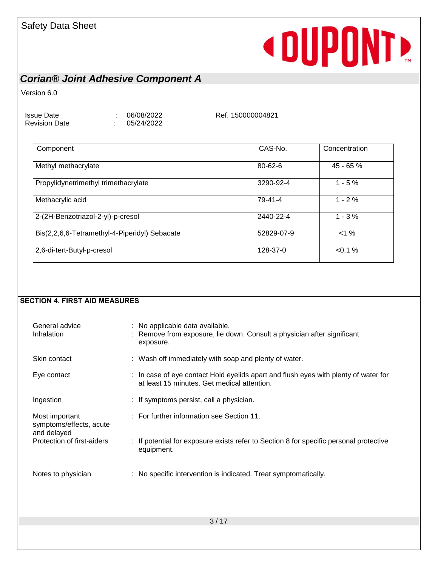### *Corian® Joint Adhesive Component A*

Version 6.0

Issue Date : 06/08/2022 Revision Date : 05/24/2022

Ref. 150000004821

| Component                                     | CAS-No.    | Concentration |
|-----------------------------------------------|------------|---------------|
| Methyl methacrylate                           | 80-62-6    | 45 - 65 %     |
| Propylidynetrimethyl trimethacrylate          | 3290-92-4  | $1 - 5%$      |
| Methacrylic acid                              | 79-41-4    | $1 - 2%$      |
| 2-(2H-Benzotriazol-2-yl)-p-cresol             | 2440-22-4  | $1 - 3%$      |
| Bis(2,2,6,6-Tetramethyl-4-Piperidyl) Sebacate | 52829-07-9 | <1%           |
| 2,6-di-tert-Butyl-p-cresol                    | 128-37-0   | $< 0.1 \%$    |

#### **SECTION 4. FIRST AID MEASURES**

| General advice<br>Inhalation                             | : No applicable data available.<br>: Remove from exposure, lie down. Consult a physician after significant<br>exposure.            |
|----------------------------------------------------------|------------------------------------------------------------------------------------------------------------------------------------|
| Skin contact                                             | : Wash off immediately with soap and plenty of water.                                                                              |
| Eye contact                                              | : In case of eye contact Hold eyelids apart and flush eyes with plenty of water for<br>at least 15 minutes. Get medical attention. |
| Ingestion                                                | : If symptoms persist, call a physician.                                                                                           |
| Most important<br>symptoms/effects, acute<br>and delayed | : For further information see Section 11.                                                                                          |
| Protection of first-aiders                               | : If potential for exposure exists refer to Section 8 for specific personal protective<br>equipment.                               |
| Notes to physician                                       | : No specific intervention is indicated. Treat symptomatically.                                                                    |
|                                                          |                                                                                                                                    |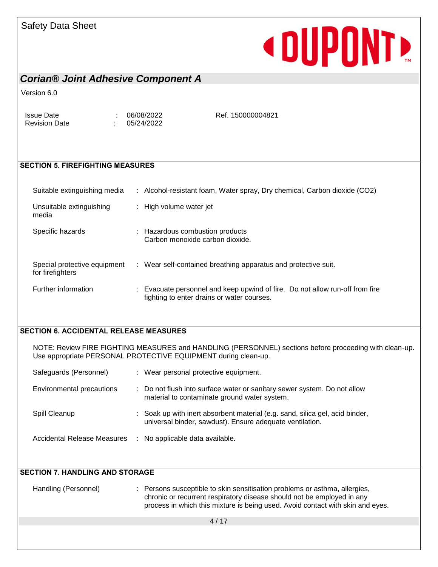#### Safety Data Sheet

# **«DUPONTE**

#### *Corian® Joint Adhesive Component A*

Version 6.0

Issue Date : 06/08/2022 Revision Date : 05/24/2022

Ref. 150000004821

#### **SECTION 5. FIREFIGHTING MEASURES**

| Suitable extinguishing media                     | : Alcohol-resistant foam, Water spray, Dry chemical, Carbon dioxide (CO2)                                                  |
|--------------------------------------------------|----------------------------------------------------------------------------------------------------------------------------|
| Unsuitable extinguishing<br>media                | : High volume water jet                                                                                                    |
| Specific hazards                                 | : Hazardous combustion products<br>Carbon monoxide carbon dioxide.                                                         |
| Special protective equipment<br>for firefighters | : Wear self-contained breathing apparatus and protective suit.                                                             |
| Further information                              | : Evacuate personnel and keep upwind of fire. Do not allow run-off from fire<br>fighting to enter drains or water courses. |

#### **SECTION 6. ACCIDENTAL RELEASE MEASURES**

NOTE: Review FIRE FIGHTING MEASURES and HANDLING (PERSONNEL) sections before proceeding with clean-up. Use appropriate PERSONAL PROTECTIVE EQUIPMENT during clean-up.

| Safeguards (Personnel)      | : Wear personal protective equipment.                                                                                                    |
|-----------------------------|------------------------------------------------------------------------------------------------------------------------------------------|
| Environmental precautions   | : Do not flush into surface water or sanitary sewer system. Do not allow<br>material to contaminate ground water system.                 |
| Spill Cleanup               | : Soak up with inert absorbent material (e.g. sand, silica gel, acid binder,<br>universal binder, sawdust). Ensure adequate ventilation. |
| Accidental Release Measures | No applicable data available.                                                                                                            |

| <b>SECTION 7. HANDLING AND STORAGE</b> |                                                                                                                                                                                                                                        |
|----------------------------------------|----------------------------------------------------------------------------------------------------------------------------------------------------------------------------------------------------------------------------------------|
| Handling (Personnel)                   | : Persons susceptible to skin sensitisation problems or asthma, allergies,<br>chronic or recurrent respiratory disease should not be employed in any<br>process in which this mixture is being used. Avoid contact with skin and eyes. |
|                                        | 4/17                                                                                                                                                                                                                                   |
|                                        |                                                                                                                                                                                                                                        |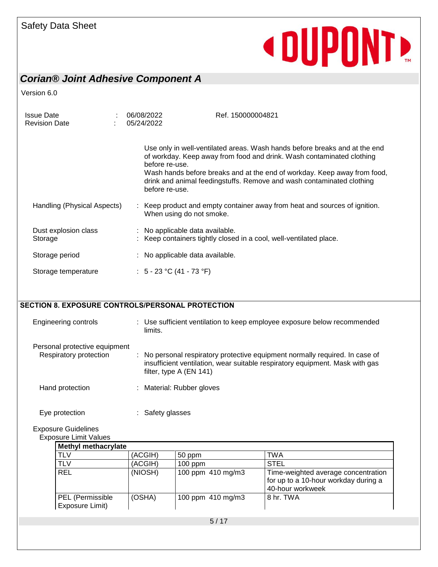### *Corian® Joint Adhesive Component A*

Version 6.0

| <b>Issue Date</b><br><b>Revision Date</b> | 06/08/2022<br>05/24/2022         | Ref. 150000004821                                                                                                                                                                                                                                                                                        |
|-------------------------------------------|----------------------------------|----------------------------------------------------------------------------------------------------------------------------------------------------------------------------------------------------------------------------------------------------------------------------------------------------------|
|                                           | before re-use.<br>before re-use. | Use only in well-ventilated areas. Wash hands before breaks and at the end<br>of workday. Keep away from food and drink. Wash contaminated clothing<br>Wash hands before breaks and at the end of workday. Keep away from food,<br>drink and animal feedingstuffs. Remove and wash contaminated clothing |
| Handling (Physical Aspects)               | When using do not smoke.         | Keep product and empty container away from heat and sources of ignition.                                                                                                                                                                                                                                 |
| Dust explosion class<br>Storage           | : No applicable data available.  | Keep containers tightly closed in a cool, well-ventilated place.                                                                                                                                                                                                                                         |
| Storage period                            | : No applicable data available.  |                                                                                                                                                                                                                                                                                                          |
| Storage temperature                       | : $5 - 23$ °C (41 - 73 °F)       |                                                                                                                                                                                                                                                                                                          |

#### **SECTION 8. EXPOSURE CONTROLS/PERSONAL PROTECTION**

| <b>Engineering controls</b>                             | : Use sufficient ventilation to keep employee exposure below recommended<br>limits.                                                                                                       |
|---------------------------------------------------------|-------------------------------------------------------------------------------------------------------------------------------------------------------------------------------------------|
| Personal protective equipment<br>Respiratory protection | : No personal respiratory protective equipment normally required. In case of<br>insufficient ventilation, wear suitable respiratory equipment. Mask with gas<br>filter, type $A$ (EN 141) |
| Hand protection                                         | : Material: Rubber gloves                                                                                                                                                                 |
| Eye protection                                          | : Safety glasses                                                                                                                                                                          |

Exposure Guidelines

Exposure Limit Values

| <b>Methyl methacrylate</b>          |         |                   |                                                                                                 |  |  |  |
|-------------------------------------|---------|-------------------|-------------------------------------------------------------------------------------------------|--|--|--|
| <b>TLV</b>                          | (ACGIH) | 50 ppm            | TWA                                                                                             |  |  |  |
| <b>TLV</b>                          | (ACGIH) | $100$ ppm         | <b>STEL</b>                                                                                     |  |  |  |
| <b>REL</b>                          | (NIOSH) | 100 ppm 410 mg/m3 | Time-weighted average concentration<br>for up to a 10-hour workday during a<br>40-hour workweek |  |  |  |
| PEL (Permissible<br>Exposure Limit) | (OSHA)  | 100 ppm 410 mg/m3 | 8 hr. TWA                                                                                       |  |  |  |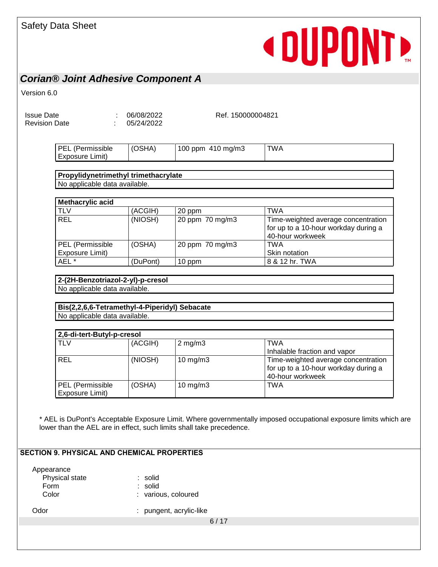#### *Corian® Joint Adhesive Component A*

Version 6.0

| <b>Issue Date</b>    |  |
|----------------------|--|
| <b>Revision Date</b> |  |

 $1.06/08/2022$  $\therefore$  05/24/2022

Ref. 150000004821

| l PEL<br>(Permissible<br>-- | SHA) | 100<br>410 mg/m3<br>ppm | TWA |
|-----------------------------|------|-------------------------|-----|
| Exposure<br>Limit)          |      |                         |     |

#### **Propylidynetrimethyl trimethacrylate** No applicable data available.

| Methacrylic acid                    |          |                 |                                                                                                 |  |  |  |  |  |  |
|-------------------------------------|----------|-----------------|-------------------------------------------------------------------------------------------------|--|--|--|--|--|--|
| <b>TLV</b>                          | (ACGIH)  | 20 ppm          | <b>TWA</b>                                                                                      |  |  |  |  |  |  |
| <b>REL</b>                          | (NIOSH)  | 20 ppm 70 mg/m3 | Time-weighted average concentration<br>for up to a 10-hour workday during a<br>40-hour workweek |  |  |  |  |  |  |
| PEL (Permissible<br>Exposure Limit) | (OSHA)   | 20 ppm 70 mg/m3 | TWA<br>Skin notation                                                                            |  |  |  |  |  |  |
| AEL <sup>*</sup>                    | (DuPont) | 10 ppm          | 8 & 12 hr. TWA                                                                                  |  |  |  |  |  |  |

#### **2-(2H-Benzotriazol-2-yl)-p-cresol** No applicable data available.

**Bis(2,2,6,6-Tetramethyl-4-Piperidyl) Sebacate** No applicable data available.

| 2,6-di-tert-Butyl-p-cresol          |         |                   |                                                                                                 |  |  |  |  |  |
|-------------------------------------|---------|-------------------|-------------------------------------------------------------------------------------------------|--|--|--|--|--|
| <b>TLV</b>                          | (ACGIH) | $2$ mg/m $3$      | <b>TWA</b>                                                                                      |  |  |  |  |  |
|                                     |         |                   | Inhalable fraction and vapor                                                                    |  |  |  |  |  |
| <b>REL</b>                          | (NIOSH) | $10 \text{ mg/m}$ | Time-weighted average concentration<br>for up to a 10-hour workday during a<br>40-hour workweek |  |  |  |  |  |
| PEL (Permissible<br>Exposure Limit) | (OSHA)  | 10 mg/m $3$       | <b>TWA</b>                                                                                      |  |  |  |  |  |

\* AEL is DuPont's Acceptable Exposure Limit. Where governmentally imposed occupational exposure limits which are lower than the AEL are in effect, such limits shall take precedence.

#### **SECTION 9. PHYSICAL AND CHEMICAL PROPERTIES**

Appearance

Physical state : solid Form : solid Color : various, coloured

Odor : pungent, acrylic-like

6 / 17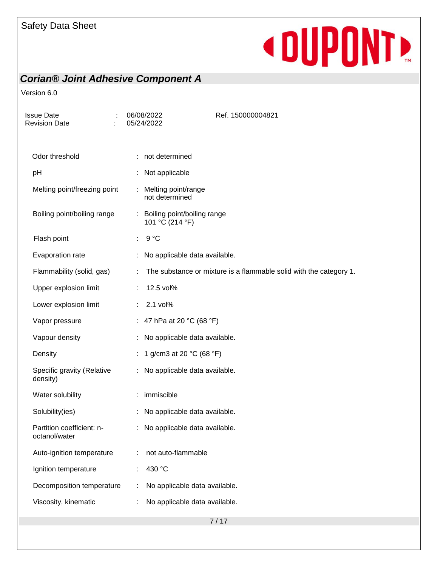### *Corian® Joint Adhesive Component A*

| ÷<br>Issue Date<br><b>Revision Date</b>    | 06/08/2022<br>05/24/2022                         | Ref. 150000004821                                                  |
|--------------------------------------------|--------------------------------------------------|--------------------------------------------------------------------|
| Odor threshold                             | : not determined                                 |                                                                    |
| pH                                         | : Not applicable                                 |                                                                    |
| Melting point/freezing point               | : Melting point/range<br>not determined          |                                                                    |
| Boiling point/boiling range                | : Boiling point/boiling range<br>101 °C (214 °F) |                                                                    |
| Flash point                                | 9 °C<br>÷.                                       |                                                                    |
| Evaporation rate                           |                                                  | No applicable data available.                                      |
| Flammability (solid, gas)                  | ÷                                                | The substance or mixture is a flammable solid with the category 1. |
| Upper explosion limit                      | 12.5 vol%<br>÷.                                  |                                                                    |
| Lower explosion limit                      | 2.1 vol%                                         |                                                                    |
| Vapor pressure                             | : 47 hPa at 20 °C (68 °F)                        |                                                                    |
| Vapour density                             | : No applicable data available.                  |                                                                    |
| Density                                    | 1 g/cm3 at 20 °C (68 °F)                         |                                                                    |
| Specific gravity (Relative<br>density)     | : No applicable data available.                  |                                                                    |
| Water solubility                           | : immiscible                                     |                                                                    |
| Solubility(ies)                            |                                                  | No applicable data available.                                      |
| Partition coefficient: n-<br>octanol/water | : No applicable data available.                  |                                                                    |
| Auto-ignition temperature                  | not auto-flammable                               |                                                                    |
| Ignition temperature                       | 430 °C                                           |                                                                    |
| Decomposition temperature                  |                                                  | No applicable data available.                                      |
| Viscosity, kinematic                       |                                                  | No applicable data available.                                      |
|                                            |                                                  |                                                                    |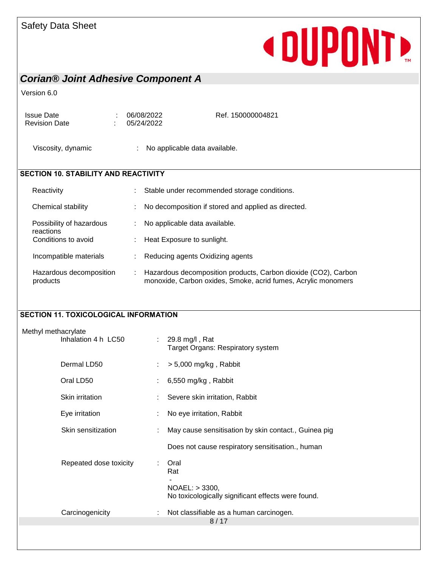### *Corian® Joint Adhesive Component A*

#### Version 6.0

Issue Date : 06/08/2022 Revision Date : 05/24/2022

Ref. 150000004821

Viscosity, dynamic : No applicable data available.

#### **SECTION 10. STABILITY AND REACTIVITY**

| Reactivity                            | ÷ | Stable under recommended storage conditions.                                                                                    |
|---------------------------------------|---|---------------------------------------------------------------------------------------------------------------------------------|
| Chemical stability                    | ÷ | No decomposition if stored and applied as directed.                                                                             |
| Possibility of hazardous<br>reactions |   | No applicable data available.                                                                                                   |
| Conditions to avoid                   | ÷ | Heat Exposure to sunlight.                                                                                                      |
| Incompatible materials                |   | Reducing agents Oxidizing agents                                                                                                |
| Hazardous decomposition<br>products   |   | Hazardous decomposition products, Carbon dioxide (CO2), Carbon<br>monoxide, Carbon oxides, Smoke, acrid fumes, Acrylic monomers |

#### **SECTION 11. TOXICOLOGICAL INFORMATION**

| Dermal LD50<br>$> 5,000$ mg/kg, Rabbit<br>Oral LD50<br>6,550 mg/kg, Rabbit<br>Skin irritation<br>Severe skin irritation, Rabbit<br>Eye irritation<br>No eye irritation, Rabbit<br>Skin sensitization<br>May cause sensitisation by skin contact., Guinea pig<br>Does not cause respiratory sensitisation., human<br>Repeated dose toxicity<br>Oral<br>÷<br>Rat<br>$NOAEL:$ > 3300,<br>No toxicologically significant effects were found.<br>Carcinogenicity<br>Not classifiable as a human carcinogen.<br>8/17 | Methyl methacrylate | Inhalation 4 h LC50 | : $29.8 \text{ mg/l}$ , Rat<br>Target Organs: Respiratory system |
|----------------------------------------------------------------------------------------------------------------------------------------------------------------------------------------------------------------------------------------------------------------------------------------------------------------------------------------------------------------------------------------------------------------------------------------------------------------------------------------------------------------|---------------------|---------------------|------------------------------------------------------------------|
|                                                                                                                                                                                                                                                                                                                                                                                                                                                                                                                |                     |                     |                                                                  |
|                                                                                                                                                                                                                                                                                                                                                                                                                                                                                                                |                     |                     |                                                                  |
|                                                                                                                                                                                                                                                                                                                                                                                                                                                                                                                |                     |                     |                                                                  |
|                                                                                                                                                                                                                                                                                                                                                                                                                                                                                                                |                     |                     |                                                                  |
|                                                                                                                                                                                                                                                                                                                                                                                                                                                                                                                |                     |                     |                                                                  |
|                                                                                                                                                                                                                                                                                                                                                                                                                                                                                                                |                     |                     |                                                                  |
|                                                                                                                                                                                                                                                                                                                                                                                                                                                                                                                |                     |                     |                                                                  |
|                                                                                                                                                                                                                                                                                                                                                                                                                                                                                                                |                     |                     |                                                                  |
|                                                                                                                                                                                                                                                                                                                                                                                                                                                                                                                |                     |                     |                                                                  |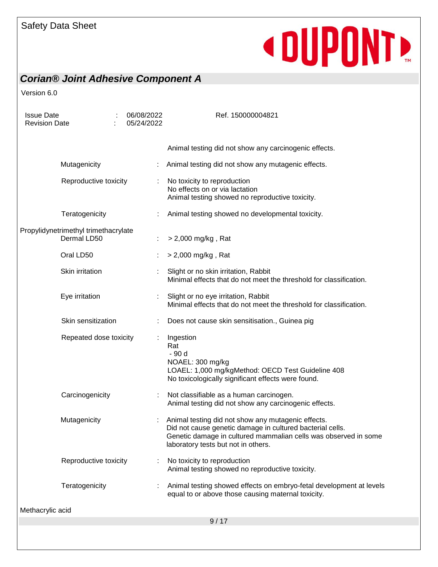### *Corian® Joint Adhesive Component A*

| <b>Issue Date</b><br><b>Revision Date</b>           | 06/08/2022<br>05/24/2022 |   | Ref. 150000004821                                                                                                                                                                                                         |
|-----------------------------------------------------|--------------------------|---|---------------------------------------------------------------------------------------------------------------------------------------------------------------------------------------------------------------------------|
|                                                     |                          |   | Animal testing did not show any carcinogenic effects.                                                                                                                                                                     |
| Mutagenicity                                        |                          |   | Animal testing did not show any mutagenic effects.                                                                                                                                                                        |
| Reproductive toxicity                               |                          |   | No toxicity to reproduction<br>No effects on or via lactation<br>Animal testing showed no reproductive toxicity.                                                                                                          |
| Teratogenicity                                      |                          |   | Animal testing showed no developmental toxicity.                                                                                                                                                                          |
| Propylidynetrimethyl trimethacrylate<br>Dermal LD50 |                          |   | > 2,000 mg/kg, Rat                                                                                                                                                                                                        |
| Oral LD50                                           |                          |   | > 2,000 mg/kg, Rat                                                                                                                                                                                                        |
| Skin irritation                                     |                          |   | Slight or no skin irritation, Rabbit<br>Minimal effects that do not meet the threshold for classification.                                                                                                                |
| Eye irritation                                      |                          |   | Slight or no eye irritation, Rabbit<br>Minimal effects that do not meet the threshold for classification.                                                                                                                 |
| Skin sensitization                                  |                          |   | Does not cause skin sensitisation., Guinea pig                                                                                                                                                                            |
| Repeated dose toxicity                              |                          | ÷ | Ingestion<br>Rat<br>- 90 d<br>NOAEL: 300 mg/kg<br>LOAEL: 1,000 mg/kgMethod: OECD Test Guideline 408<br>No toxicologically significant effects were found.                                                                 |
| Carcinogenicity                                     |                          |   | Not classifiable as a human carcinogen.<br>Animal testing did not show any carcinogenic effects.                                                                                                                          |
| Mutagenicity                                        |                          |   | Animal testing did not show any mutagenic effects.<br>Did not cause genetic damage in cultured bacterial cells.<br>Genetic damage in cultured mammalian cells was observed in some<br>laboratory tests but not in others. |
| Reproductive toxicity                               |                          |   | No toxicity to reproduction<br>Animal testing showed no reproductive toxicity.                                                                                                                                            |
| Teratogenicity                                      |                          |   | Animal testing showed effects on embryo-fetal development at levels<br>equal to or above those causing maternal toxicity.                                                                                                 |
| Methacrylic acid                                    |                          |   |                                                                                                                                                                                                                           |
|                                                     |                          |   | 9/17                                                                                                                                                                                                                      |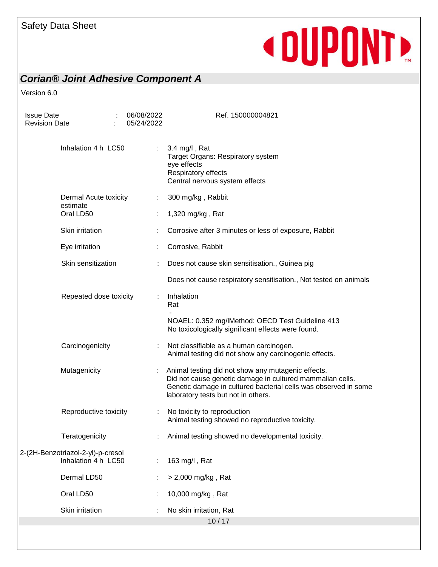### *Corian® Joint Adhesive Component A*

| <b>Issue Date</b><br><b>Revision Date</b> |                                                          |  | 06/08/2022<br>05/24/2022 | Ref. 150000004821                                                                                                                                                                                                         |
|-------------------------------------------|----------------------------------------------------------|--|--------------------------|---------------------------------------------------------------------------------------------------------------------------------------------------------------------------------------------------------------------------|
|                                           | Inhalation 4 h LC50                                      |  | $\mathbb{Z}^{\times}$    | 3.4 mg/l, Rat<br>Target Organs: Respiratory system<br>eye effects<br>Respiratory effects<br>Central nervous system effects                                                                                                |
|                                           | Dermal Acute toxicity<br>estimate                        |  | ÷                        | 300 mg/kg, Rabbit                                                                                                                                                                                                         |
|                                           | Oral LD50                                                |  | ÷.                       | 1,320 mg/kg, Rat                                                                                                                                                                                                          |
|                                           | Skin irritation                                          |  |                          | Corrosive after 3 minutes or less of exposure, Rabbit                                                                                                                                                                     |
|                                           | Eye irritation                                           |  |                          | Corrosive, Rabbit                                                                                                                                                                                                         |
|                                           | Skin sensitization                                       |  |                          | Does not cause skin sensitisation., Guinea pig                                                                                                                                                                            |
|                                           |                                                          |  |                          | Does not cause respiratory sensitisation., Not tested on animals                                                                                                                                                          |
|                                           | Repeated dose toxicity<br>Carcinogenicity                |  |                          | Inhalation<br>Rat                                                                                                                                                                                                         |
|                                           |                                                          |  |                          | NOAEL: 0.352 mg/lMethod: OECD Test Guideline 413<br>No toxicologically significant effects were found.                                                                                                                    |
|                                           |                                                          |  |                          | Not classifiable as a human carcinogen.<br>Animal testing did not show any carcinogenic effects.                                                                                                                          |
| Mutagenicity                              |                                                          |  |                          | Animal testing did not show any mutagenic effects.<br>Did not cause genetic damage in cultured mammalian cells.<br>Genetic damage in cultured bacterial cells was observed in some<br>laboratory tests but not in others. |
|                                           | Reproductive toxicity                                    |  | ÷                        | No toxicity to reproduction<br>Animal testing showed no reproductive toxicity.                                                                                                                                            |
|                                           | Teratogenicity                                           |  |                          | Animal testing showed no developmental toxicity.                                                                                                                                                                          |
|                                           | 2-(2H-Benzotriazol-2-yl)-p-cresol<br>Inhalation 4 h LC50 |  | ÷                        | 163 mg/l, Rat                                                                                                                                                                                                             |
|                                           | Dermal LD50                                              |  |                          | > 2,000 mg/kg, Rat                                                                                                                                                                                                        |
|                                           | Oral LD50                                                |  |                          | 10,000 mg/kg, Rat                                                                                                                                                                                                         |
|                                           | Skin irritation                                          |  |                          | No skin irritation, Rat                                                                                                                                                                                                   |
|                                           |                                                          |  |                          | 10/17                                                                                                                                                                                                                     |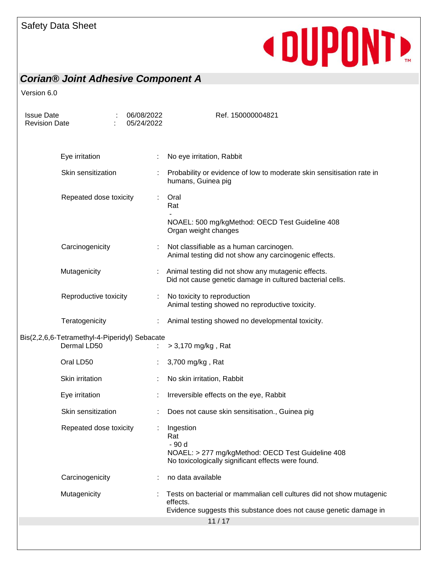### *Corian® Joint Adhesive Component A*

| <b>Issue Date</b><br><b>Revision Date</b>                    |                        |  | 06/08/2022<br>05/24/2022 | Ref. 150000004821                                                                                                                                     |
|--------------------------------------------------------------|------------------------|--|--------------------------|-------------------------------------------------------------------------------------------------------------------------------------------------------|
|                                                              | Eye irritation         |  |                          | No eye irritation, Rabbit                                                                                                                             |
|                                                              | Skin sensitization     |  |                          | Probability or evidence of low to moderate skin sensitisation rate in<br>humans, Guinea pig                                                           |
|                                                              | Repeated dose toxicity |  | ÷                        | Oral<br>Rat                                                                                                                                           |
|                                                              |                        |  |                          | NOAEL: 500 mg/kgMethod: OECD Test Guideline 408<br>Organ weight changes                                                                               |
|                                                              | Carcinogenicity        |  |                          | Not classifiable as a human carcinogen.<br>Animal testing did not show any carcinogenic effects.                                                      |
|                                                              | Mutagenicity           |  |                          | Animal testing did not show any mutagenic effects.<br>Did not cause genetic damage in cultured bacterial cells.                                       |
|                                                              | Reproductive toxicity  |  |                          | No toxicity to reproduction<br>Animal testing showed no reproductive toxicity.                                                                        |
|                                                              | Teratogenicity         |  |                          | Animal testing showed no developmental toxicity.                                                                                                      |
| Bis(2,2,6,6-Tetramethyl-4-Piperidyl) Sebacate<br>Dermal LD50 |                        |  | > 3,170 mg/kg, Rat       |                                                                                                                                                       |
|                                                              | Oral LD50              |  |                          | 3,700 mg/kg, Rat                                                                                                                                      |
|                                                              | Skin irritation        |  |                          | No skin irritation, Rabbit                                                                                                                            |
|                                                              | Eye irritation         |  |                          | Irreversible effects on the eye, Rabbit                                                                                                               |
|                                                              | Skin sensitization     |  |                          | Does not cause skin sensitisation., Guinea pig                                                                                                        |
|                                                              | Repeated dose toxicity |  |                          | : Ingestion<br>Rat<br>- 90 d<br>NOAEL: > 277 mg/kgMethod: OECD Test Guideline 408<br>No toxicologically significant effects were found.               |
|                                                              | Carcinogenicity        |  |                          | no data available                                                                                                                                     |
|                                                              | Mutagenicity           |  |                          | Tests on bacterial or mammalian cell cultures did not show mutagenic<br>effects.<br>Evidence suggests this substance does not cause genetic damage in |
|                                                              |                        |  |                          | 11/17                                                                                                                                                 |
|                                                              |                        |  |                          |                                                                                                                                                       |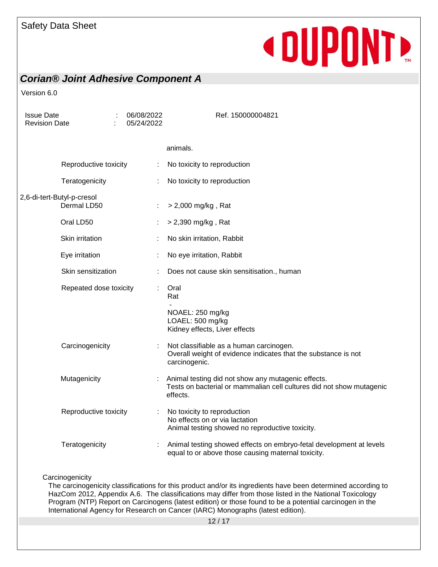### *Corian® Joint Adhesive Component A*

Version 6.0

| <b>Issue Date</b><br><b>Revision Date</b> |                        |  | 06/08/2022<br>05/24/2022 | Ref. 150000004821                                                                                                                      |
|-------------------------------------------|------------------------|--|--------------------------|----------------------------------------------------------------------------------------------------------------------------------------|
|                                           |                        |  |                          | animals.                                                                                                                               |
|                                           | Reproductive toxicity  |  |                          | No toxicity to reproduction                                                                                                            |
|                                           | Teratogenicity         |  |                          | No toxicity to reproduction                                                                                                            |
| 2,6-di-tert-Butyl-p-cresol                | Dermal LD50            |  |                          | > 2,000 mg/kg, Rat                                                                                                                     |
|                                           | Oral LD50              |  |                          | $>$ 2,390 mg/kg, Rat                                                                                                                   |
|                                           | Skin irritation        |  |                          | No skin irritation, Rabbit                                                                                                             |
|                                           | Eye irritation         |  |                          | No eye irritation, Rabbit                                                                                                              |
|                                           | Skin sensitization     |  |                          | Does not cause skin sensitisation., human                                                                                              |
|                                           | Repeated dose toxicity |  |                          | Oral<br>Rat                                                                                                                            |
|                                           |                        |  |                          | NOAEL: 250 mg/kg<br>LOAEL: 500 mg/kg<br>Kidney effects, Liver effects                                                                  |
|                                           | Carcinogenicity        |  |                          | Not classifiable as a human carcinogen.<br>Overall weight of evidence indicates that the substance is not<br>carcinogenic.             |
|                                           | Mutagenicity           |  |                          | Animal testing did not show any mutagenic effects.<br>Tests on bacterial or mammalian cell cultures did not show mutagenic<br>effects. |
|                                           | Reproductive toxicity  |  |                          | No toxicity to reproduction<br>No effects on or via lactation<br>Animal testing showed no reproductive toxicity.                       |
|                                           | Teratogenicity         |  |                          | Animal testing showed effects on embryo-fetal development at levels<br>equal to or above those causing maternal toxicity.              |

#### **Carcinogenicity**

The carcinogenicity classifications for this product and/or its ingredients have been determined according to HazCom 2012, Appendix A.6. The classifications may differ from those listed in the National Toxicology Program (NTP) Report on Carcinogens (latest edition) or those found to be a potential carcinogen in the International Agency for Research on Cancer (IARC) Monographs (latest edition).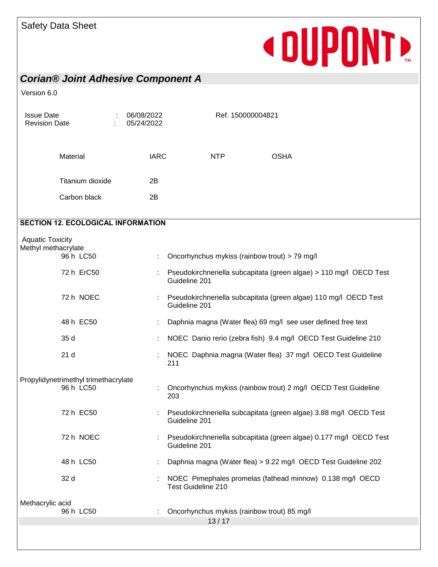### *Corian® Joint Adhesive Component A*

 $\epsilon$  0.

| Version 6.0                                    |                                                   |                          |                                                                                     |
|------------------------------------------------|---------------------------------------------------|--------------------------|-------------------------------------------------------------------------------------|
| <b>Issue Date</b><br><b>Revision Date</b>      |                                                   | 06/08/2022<br>05/24/2022 | Ref. 150000004821                                                                   |
|                                                | Material                                          | <b>IARC</b>              | <b>NTP</b><br><b>OSHA</b>                                                           |
|                                                | Titanium dioxide                                  | 2B                       |                                                                                     |
|                                                | Carbon black                                      | 2B                       |                                                                                     |
|                                                | <b>SECTION 12. ECOLOGICAL INFORMATION</b>         |                          |                                                                                     |
| <b>Aquatic Toxicity</b><br>Methyl methacrylate | 96 h LC50                                         |                          | Oncorhynchus mykiss (rainbow trout) > 79 mg/l                                       |
|                                                | 72 h ErC50                                        |                          | Pseudokirchneriella subcapitata (green algae) > 110 mg/l OECD Test<br>Guideline 201 |
|                                                | 72 h NOEC                                         |                          | Pseudokirchneriella subcapitata (green algae) 110 mg/l OECD Test<br>Guideline 201   |
|                                                | 48 h EC50                                         |                          | Daphnia magna (Water flea) 69 mg/l see user defined free text                       |
|                                                | 35 d                                              |                          | NOEC Danio rerio (zebra fish) 9.4 mg/l OECD Test Guideline 210                      |
|                                                | 21 <sub>d</sub>                                   |                          | NOEC Daphnia magna (Water flea) 37 mg/l OECD Test Guideline<br>211                  |
|                                                | Propylidynetrimethyl trimethacrylate<br>96 h LC50 |                          | Oncorhynchus mykiss (rainbow trout) 2 mg/l OECD Test Guideline<br>203               |
|                                                | 72 h EC50                                         |                          | Pseudokirchneriella subcapitata (green algae) 3.88 mg/l OECD Test<br>Guideline 201  |
|                                                | 72 h NOEC                                         |                          | Pseudokirchneriella subcapitata (green algae) 0.177 mg/l OECD Test<br>Guideline 201 |
|                                                | 48 h LC50                                         |                          | Daphnia magna (Water flea) > 9.22 mg/l OECD Test Guideline 202                      |
|                                                | 32 d                                              |                          | NOEC Pimephales promelas (fathead minnow) 0.138 mg/l OECD<br>Test Guideline 210     |
| Methacrylic acid                               |                                                   |                          |                                                                                     |
|                                                | 96 h LC50                                         |                          | Oncorhynchus mykiss (rainbow trout) 85 mg/l<br>13/17                                |
|                                                |                                                   |                          |                                                                                     |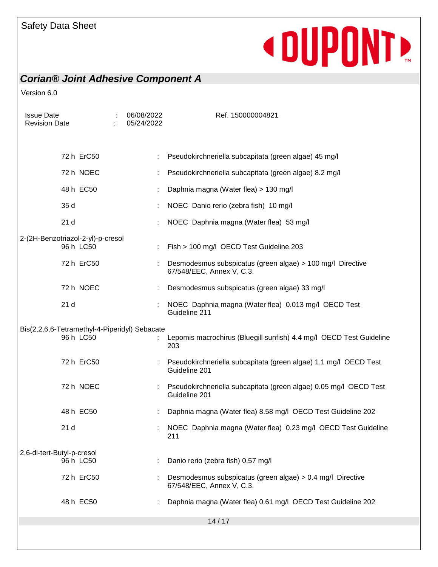### *Corian® Joint Adhesive Component A*

| <b>Issue Date</b><br><b>Revision Date</b>                  | 06/08/2022<br>05/24/2022 | Ref. 150000004821                                                                       |
|------------------------------------------------------------|--------------------------|-----------------------------------------------------------------------------------------|
| 72 h ErC50                                                 |                          | Pseudokirchneriella subcapitata (green algae) 45 mg/l                                   |
| 72 h NOEC                                                  |                          | Pseudokirchneriella subcapitata (green algae) 8.2 mg/l                                  |
| 48 h EC50                                                  |                          | Daphnia magna (Water flea) > 130 mg/l                                                   |
| 35 d                                                       |                          | NOEC Danio rerio (zebra fish) 10 mg/l                                                   |
| 21 <sub>d</sub>                                            |                          | NOEC Daphnia magna (Water flea) 53 mg/l                                                 |
| 2-(2H-Benzotriazol-2-yl)-p-cresol<br>96 h LC50             |                          | Fish > 100 mg/l OECD Test Guideline 203                                                 |
| 72 h ErC50                                                 |                          | Desmodesmus subspicatus (green algae) > 100 mg/l Directive<br>67/548/EEC, Annex V, C.3. |
| 72 h NOEC                                                  |                          | Desmodesmus subspicatus (green algae) 33 mg/l                                           |
| 21 <sub>d</sub>                                            |                          | NOEC Daphnia magna (Water flea) 0.013 mg/l OECD Test<br>Guideline 211                   |
| Bis(2,2,6,6-Tetramethyl-4-Piperidyl) Sebacate<br>96 h LC50 |                          | : Lepomis macrochirus (Bluegill sunfish) 4.4 mg/l OECD Test Guideline<br>203            |
| 72 h ErC50                                                 |                          | Pseudokirchneriella subcapitata (green algae) 1.1 mg/l OECD Test<br>Guideline 201       |
| 72 h NOEC                                                  |                          | Pseudokirchneriella subcapitata (green algae) 0.05 mg/l OECD Test<br>Guideline 201      |
| 48 h EC50                                                  |                          | Daphnia magna (Water flea) 8.58 mg/l OECD Test Guideline 202                            |
| 21 <sub>d</sub>                                            |                          | NOEC Daphnia magna (Water flea) 0.23 mg/l OECD Test Guideline<br>211                    |
| 2,6-di-tert-Butyl-p-cresol                                 |                          |                                                                                         |
| 96 h LC50                                                  |                          | Danio rerio (zebra fish) 0.57 mg/l                                                      |
| 72 h ErC50                                                 |                          | Desmodesmus subspicatus (green algae) > 0.4 mg/l Directive<br>67/548/EEC, Annex V, C.3. |
| 48 h EC50                                                  |                          | Daphnia magna (Water flea) 0.61 mg/l OECD Test Guideline 202                            |
|                                                            |                          | 14/17                                                                                   |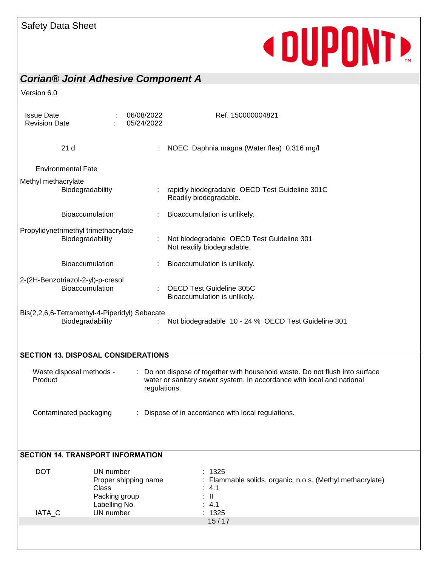### *Corian® Joint Adhesive Component A*

| <b>Issue Date</b><br><b>Revision Date</b>                                                                                |                                                                                                  | 06/08/2022<br>05/24/2022 | Ref. 150000004821                                                                                                                                     |  |  |  |  |
|--------------------------------------------------------------------------------------------------------------------------|--------------------------------------------------------------------------------------------------|--------------------------|-------------------------------------------------------------------------------------------------------------------------------------------------------|--|--|--|--|
| 21 <sub>d</sub>                                                                                                          |                                                                                                  |                          | NOEC Daphnia magna (Water flea) 0.316 mg/l                                                                                                            |  |  |  |  |
| <b>Environmental Fate</b>                                                                                                |                                                                                                  |                          |                                                                                                                                                       |  |  |  |  |
| Methyl methacrylate<br>Biodegradability                                                                                  |                                                                                                  |                          | rapidly biodegradable OECD Test Guideline 301C<br>Readily biodegradable.                                                                              |  |  |  |  |
| <b>Bioaccumulation</b>                                                                                                   |                                                                                                  |                          | Bioaccumulation is unlikely.                                                                                                                          |  |  |  |  |
| Propylidynetrimethyl trimethacrylate<br>Biodegradability                                                                 |                                                                                                  |                          | Not biodegradable OECD Test Guideline 301<br>Not readily biodegradable.                                                                               |  |  |  |  |
| <b>Bioaccumulation</b>                                                                                                   |                                                                                                  |                          | Bioaccumulation is unlikely.                                                                                                                          |  |  |  |  |
| 2-(2H-Benzotriazol-2-yl)-p-cresol<br>Bioaccumulation                                                                     | <b>OECD Test Guideline 305C</b><br>Bioaccumulation is unlikely.                                  |                          |                                                                                                                                                       |  |  |  |  |
| Bis(2,2,6,6-Tetramethyl-4-Piperidyl) Sebacate<br>Biodegradability<br>Not biodegradable 10 - 24 % OECD Test Guideline 301 |                                                                                                  |                          |                                                                                                                                                       |  |  |  |  |
| <b>SECTION 13. DISPOSAL CONSIDERATIONS</b>                                                                               |                                                                                                  |                          |                                                                                                                                                       |  |  |  |  |
| Waste disposal methods -<br>Product<br>regulations.                                                                      |                                                                                                  |                          | : Do not dispose of together with household waste. Do not flush into surface<br>water or sanitary sewer system. In accordance with local and national |  |  |  |  |
| Dispose of in accordance with local regulations.<br>Contaminated packaging                                               |                                                                                                  |                          |                                                                                                                                                       |  |  |  |  |
| <b>SECTION 14. TRANSPORT INFORMATION</b>                                                                                 |                                                                                                  |                          |                                                                                                                                                       |  |  |  |  |
| <b>DOT</b><br>IATA_C                                                                                                     | UN number<br>Proper shipping name<br><b>Class</b><br>Packing group<br>Labelling No.<br>UN number |                          | : 1325<br>Flammable solids, organic, n.o.s. (Methyl methacrylate)<br>4.1<br>$\mathbf{II}$<br>: 4.1<br>: 1325                                          |  |  |  |  |
|                                                                                                                          |                                                                                                  |                          | 15/17                                                                                                                                                 |  |  |  |  |
|                                                                                                                          |                                                                                                  |                          |                                                                                                                                                       |  |  |  |  |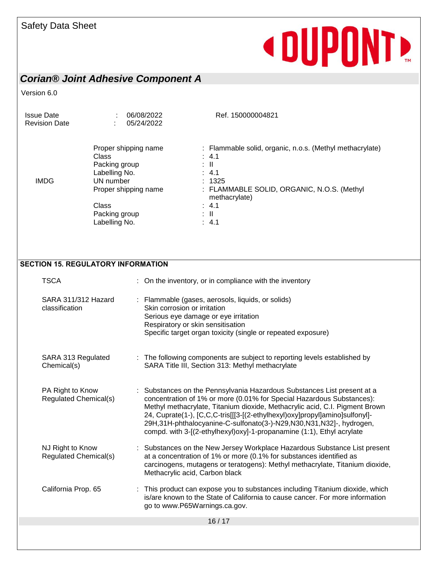### *Corian® Joint Adhesive Component A*

| <b>Issue Date</b><br><b>Revision Date</b>        |                                                                                                                                                 | 06/08/2022<br>05/24/2022 | Ref. 150000004821                                                                                                                                                                                                                                                                                                                                                                                                                                              |  |  |  |  |
|--------------------------------------------------|-------------------------------------------------------------------------------------------------------------------------------------------------|--------------------------|----------------------------------------------------------------------------------------------------------------------------------------------------------------------------------------------------------------------------------------------------------------------------------------------------------------------------------------------------------------------------------------------------------------------------------------------------------------|--|--|--|--|
| <b>IMDG</b>                                      | Proper shipping name<br>Class<br>Packing group<br>Labelling No.<br>UN number<br>Proper shipping name<br>Class<br>Packing group<br>Labelling No. |                          | : Flammable solid, organic, n.o.s. (Methyl methacrylate)<br>: 4.1<br>$\mathbb{R}^n$<br>$\therefore$ 4.1<br>: 1325<br>: FLAMMABLE SOLID, ORGANIC, N.O.S. (Methyl<br>methacrylate)<br>$\therefore$ 4.1<br>: IL<br>$\therefore$ 4.1                                                                                                                                                                                                                               |  |  |  |  |
| <b>SECTION 15. REGULATORY INFORMATION</b>        |                                                                                                                                                 |                          |                                                                                                                                                                                                                                                                                                                                                                                                                                                                |  |  |  |  |
| <b>TSCA</b>                                      |                                                                                                                                                 |                          | : On the inventory, or in compliance with the inventory                                                                                                                                                                                                                                                                                                                                                                                                        |  |  |  |  |
| SARA 311/312 Hazard<br>classification            |                                                                                                                                                 |                          | : Flammable (gases, aerosols, liquids, or solids)<br>Skin corrosion or irritation<br>Serious eye damage or eye irritation<br>Respiratory or skin sensitisation<br>Specific target organ toxicity (single or repeated exposure)                                                                                                                                                                                                                                 |  |  |  |  |
| SARA 313 Regulated<br>Chemical(s)                |                                                                                                                                                 |                          | : The following components are subject to reporting levels established by<br>SARA Title III, Section 313: Methyl methacrylate                                                                                                                                                                                                                                                                                                                                  |  |  |  |  |
| PA Right to Know<br><b>Regulated Chemical(s)</b> |                                                                                                                                                 |                          | : Substances on the Pennsylvania Hazardous Substances List present at a<br>concentration of 1% or more (0.01% for Special Hazardous Substances):<br>Methyl methacrylate, Titanium dioxide, Methacrylic acid, C.I. Pigment Brown<br>24, Cuprate(1-), [C,C,C-tris[[[3-[(2-ethylhexyl)oxy]propyl]amino]sulfonyl]-<br>29H,31H-phthalocyanine-C-sulfonato(3-)-N29,N30,N31,N32]-, hydrogen,<br>compd. with 3-[(2-ethylhexyl)oxy]-1-propanamine (1:1), Ethyl acrylate |  |  |  |  |
| NJ Right to Know<br>Regulated Chemical(s)        |                                                                                                                                                 |                          | Substances on the New Jersey Workplace Hazardous Substance List present<br>at a concentration of 1% or more (0.1% for substances identified as<br>carcinogens, mutagens or teratogens): Methyl methacrylate, Titanium dioxide,<br>Methacrylic acid, Carbon black                                                                                                                                                                                               |  |  |  |  |
| California Prop. 65                              |                                                                                                                                                 |                          | This product can expose you to substances including Titanium dioxide, which<br>is/are known to the State of California to cause cancer. For more information<br>go to www.P65Warnings.ca.gov.                                                                                                                                                                                                                                                                  |  |  |  |  |
|                                                  |                                                                                                                                                 |                          | 16/17                                                                                                                                                                                                                                                                                                                                                                                                                                                          |  |  |  |  |